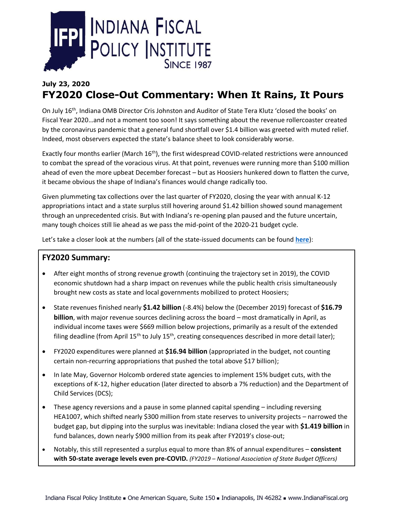

# **July 23, 2020 FY2020 Close-Out Commentary: When It Rains, It Pours**

On July 16<sup>th</sup>, Indiana OMB Director Cris Johnston and Auditor of State Tera Klutz 'closed the books' on Fiscal Year 2020…and not a moment too soon! It says something about the revenue rollercoaster created by the coronavirus pandemic that a general fund shortfall over \$1.4 billion was greeted with muted relief. Indeed, most observers expected the state's balance sheet to look considerably worse.

Exactly four months earlier (March 16<sup>th</sup>), the first widespread COVID-related restrictions were announced to combat the spread of the voracious virus. At that point, revenues were running more than \$100 million ahead of even the more upbeat December forecast – but as Hoosiers hunkered down to flatten the curve, it became obvious the shape of Indiana's finances would change radically too.

Given plummeting tax collections over the last quarter of FY2020, closing the year with annual K-12 appropriations intact and a state surplus still hovering around \$1.42 billion showed sound management through an unprecedented crisis. But with Indiana's re-opening plan paused and the future uncertain, many tough choices still lie ahead as we pass the mid-point of the 2020-21 budget cycle.

Let's take a closer look at the numbers (all of the state-issued documents can be found **[here](http://in.gov/sba/2900.htm)**):

## **FY2020 Summary:**

- After eight months of strong revenue growth (continuing the trajectory set in 2019), the COVID economic shutdown had a sharp impact on revenues while the public health crisis simultaneously brought new costs as state and local governments mobilized to protect Hoosiers;
- State revenues finished nearly **\$1.42 billion** (-8.4%) below the (December 2019) forecast of **\$16.79 billion**, with major revenue sources declining across the board – most dramatically in April, as individual income taxes were \$669 million below projections, primarily as a result of the extended filing deadline (from April 15<sup>th</sup> to July 15<sup>th</sup>, creating consequences described in more detail later);
- FY2020 expenditures were planned at **\$16.94 billion** (appropriated in the budget, not counting certain non-recurring appropriations that pushed the total above \$17 billion);
- In late May, Governor Holcomb ordered state agencies to implement 15% budget cuts, with the exceptions of K-12, higher education (later directed to absorb a 7% reduction) and the Department of Child Services (DCS);
- These agency reversions and a pause in some planned capital spending including reversing HEA1007, which shifted nearly \$300 million from state reserves to university projects – narrowed the budget gap, but dipping into the surplus was inevitable: Indiana closed the year with **\$1.419 billion** in fund balances, down nearly \$900 million from its peak after FY2019's close-out;
- Notably, this still represented a surplus equal to more than 8% of annual expenditures **consistent with 50-state average levels even pre-COVID.** *(FY2019 – National Association of State Budget Officers)*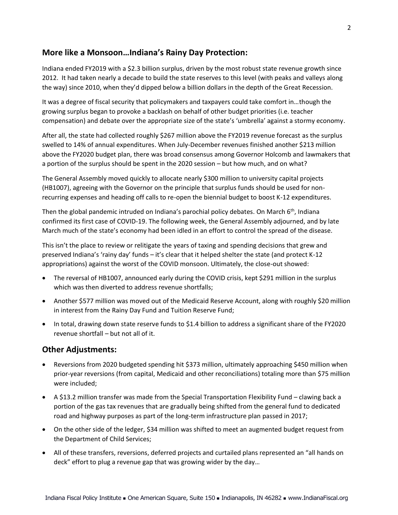### **More like a Monsoon…Indiana's Rainy Day Protection:**

Indiana ended FY2019 with a \$2.3 billion surplus, driven by the most robust state revenue growth since 2012. It had taken nearly a decade to build the state reserves to this level (with peaks and valleys along the way) since 2010, when they'd dipped below a billion dollars in the depth of the Great Recession.

It was a degree of fiscal security that policymakers and taxpayers could take comfort in…though the growing surplus began to provoke a backlash on behalf of other budget priorities (i.e. teacher compensation) and debate over the appropriate size of the state's 'umbrella' against a stormy economy.

After all, the state had collected roughly \$267 million above the FY2019 revenue forecast as the surplus swelled to 14% of annual expenditures. When July-December revenues finished another \$213 million above the FY2020 budget plan, there was broad consensus among Governor Holcomb and lawmakers that a portion of the surplus should be spent in the 2020 session – but how much, and on what?

The General Assembly moved quickly to allocate nearly \$300 million to university capital projects (HB1007), agreeing with the Governor on the principle that surplus funds should be used for nonrecurring expenses and heading off calls to re-open the biennial budget to boost K-12 expenditures.

Then the global pandemic intruded on Indiana's parochial policy debates. On March  $6<sup>th</sup>$ , Indiana confirmed its first case of COVID-19. The following week, the General Assembly adjourned, and by late March much of the state's economy had been idled in an effort to control the spread of the disease.

This isn't the place to review or relitigate the years of taxing and spending decisions that grew and preserved Indiana's 'rainy day' funds – it's clear that it helped shelter the state (and protect K-12 appropriations) against the worst of the COVID monsoon. Ultimately, the close-out showed:

- The reversal of HB1007, announced early during the COVID crisis, kept \$291 million in the surplus which was then diverted to address revenue shortfalls;
- Another \$577 million was moved out of the Medicaid Reserve Account, along with roughly \$20 million in interest from the Rainy Day Fund and Tuition Reserve Fund;
- In total, drawing down state reserve funds to \$1.4 billion to address a significant share of the FY2020 revenue shortfall – but not all of it.

#### **Other Adjustments:**

- Reversions from 2020 budgeted spending hit \$373 million, ultimately approaching \$450 million when prior-year reversions (from capital, Medicaid and other reconciliations) totaling more than \$75 million were included;
- A \$13.2 million transfer was made from the Special Transportation Flexibility Fund clawing back a portion of the gas tax revenues that are gradually being shifted from the general fund to dedicated road and highway purposes as part of the long-term infrastructure plan passed in 2017;
- On the other side of the ledger, \$34 million was shifted to meet an augmented budget request from the Department of Child Services;
- All of these transfers, reversions, deferred projects and curtailed plans represented an "all hands on deck" effort to plug a revenue gap that was growing wider by the day…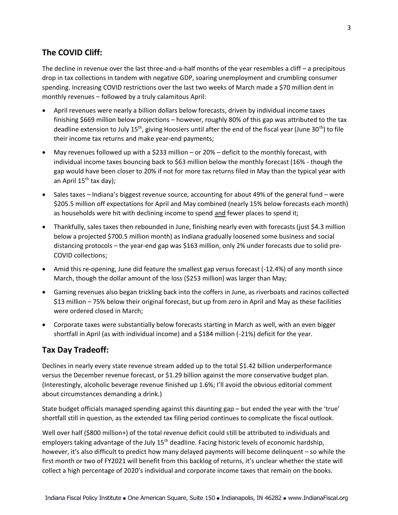## **The COVID Cliff:**

The decline in revenue over the last three-and-a-half months of the year resembles a cliff – a precipitous drop in tax collections in tandem with negative GDP, soaring unemployment and crumbling consumer spending. Increasing COVID restrictions over the last two weeks of March made a \$70 million dent in monthly revenues – followed by a truly calamitous April:

- April revenues were nearly a billion dollars below forecasts, driven by individual income taxes finishing \$669 million below projections – however, roughly 80% of this gap was attributed to the tax deadline extension to July 15<sup>th</sup>, giving Hoosiers until after the end of the fiscal year (June 30<sup>th</sup>) to file their income tax returns and make year-end payments;
- May revenues followed up with a \$233 million or 20% deficit to the monthly forecast, with individual income taxes bouncing back to \$63 million below the monthly forecast (16% - though the gap would have been closer to 20% if not for more tax returns filed in May than the typical year with an April  $15^{th}$  tax day);
- Sales taxes Indiana's biggest revenue source, accounting for about 49% of the general fund were \$205.5 million off expectations for April and May combined (nearly 15% below forecasts each month) as households were hit with declining income to spend and fewer places to spend it;
- Thankfully, sales taxes then rebounded in June, finishing nearly even with forecasts (just \$4.3 million below a projected \$700.5 million month) as Indiana gradually loosened some business and social distancing protocols – the year-end gap was \$163 million, only 2% under forecasts due to solid pre-COVID collections;
- Amid this re-opening, June did feature the smallest gap versus forecast (-12.4%) of any month since March, though the dollar amount of the loss (\$253 million) was larger than May;
- Gaming revenues also began trickling back into the coffers in June, as riverboats and racinos collected \$13 million – 75% below their original forecast, but up from zero in April and May as these facilities were ordered closed in March;
- Corporate taxes were substantially below forecasts starting in March as well, with an even bigger shortfall in April (as with individual income) and a \$184 million (-21%) deficit for the year.

## **Tax Day Tradeoff:**

Declines in nearly every state revenue stream added up to the total \$1.42 billion underperformance versus the December revenue forecast, or \$1.29 billion against the more conservative budget plan. (Interestingly, alcoholic beverage revenue finished up 1.6%; I'll avoid the obvious editorial comment about circumstances demanding a drink.)

State budget officials managed spending against this daunting gap – but ended the year with the 'true' shortfall still in question, as the extended tax filing period continues to complicate the fiscal outlook.

Well over half (\$800 million+) of the total revenue deficit could still be attributed to individuals and employers taking advantage of the July 15<sup>th</sup> deadline. Facing historic levels of economic hardship, however, it's also difficult to predict how many delayed payments will become delinquent – so while the first month or two of FY2021 will benefit from this backlog of returns, it's unclear whether the state will collect a high percentage of 2020's individual and corporate income taxes that remain on the books.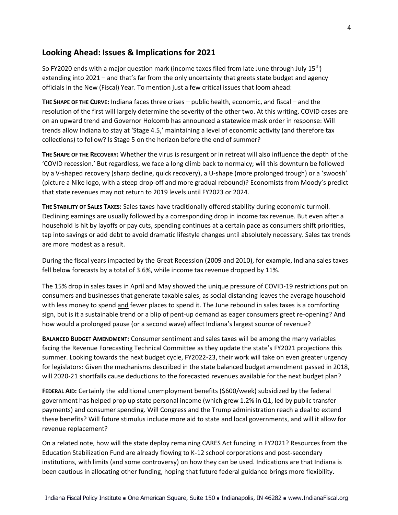#### **Looking Ahead: Issues & Implications for 2021**

So FY2020 ends with a major question mark (income taxes filed from late June through July  $15<sup>th</sup>$ ) extending into 2021 – and that's far from the only uncertainty that greets state budget and agency officials in the New (Fiscal) Year. To mention just a few critical issues that loom ahead:

**THE SHAPE OF THE CURVE:** Indiana faces three crises – public health, economic, and fiscal – and the resolution of the first will largely determine the severity of the other two. At this writing, COVID cases are on an upward trend and Governor Holcomb has announced a statewide mask order in response: Will trends allow Indiana to stay at 'Stage 4.5,' maintaining a level of economic activity (and therefore tax collections) to follow? Is Stage 5 on the horizon before the end of summer?

**THE SHAPE OF THE RECOVERY:** Whether the virus is resurgent or in retreat will also influence the depth of the 'COVID recession.' But regardless, we face a long climb back to normalcy; will this downturn be followed by a V-shaped recovery (sharp decline, quick recovery), a U-shape (more prolonged trough) or a 'swoosh' (picture a Nike logo, with a steep drop-off and more gradual rebound)? Economists from Moody's predict that state revenues may not return to 2019 levels until FY2023 or 2024.

**THE STABILITY OF SALES TAXES:** Sales taxes have traditionally offered stability during economic turmoil. Declining earnings are usually followed by a corresponding drop in income tax revenue. But even after a household is hit by layoffs or pay cuts, spending continues at a certain pace as consumers shift priorities, tap into savings or add debt to avoid dramatic lifestyle changes until absolutely necessary. Sales tax trends are more modest as a result.

During the fiscal years impacted by the Great Recession (2009 and 2010), for example, Indiana sales taxes fell below forecasts by a total of 3.6%, while income tax revenue dropped by 11%.

The 15% drop in sales taxes in April and May showed the unique pressure of COVID-19 restrictions put on consumers and businesses that generate taxable sales, as social distancing leaves the average household with less money to spend and fewer places to spend it. The June rebound in sales taxes is a comforting sign, but is it a sustainable trend or a blip of pent-up demand as eager consumers greet re-opening? And how would a prolonged pause (or a second wave) affect Indiana's largest source of revenue?

**BALANCED BUDGET AMENDMENT:** Consumer sentiment and sales taxes will be among the many variables facing the Revenue Forecasting Technical Committee as they update the state's FY2021 projections this summer. Looking towards the next budget cycle, FY2022-23, their work will take on even greater urgency for legislators: Given the mechanisms described in the state balanced budget amendment passed in 2018, will 2020-21 shortfalls cause deductions to the forecasted revenues available for the next budget plan?

**FEDERAL AID:** Certainly the additional unemployment benefits (\$600/week) subsidized by the federal government has helped prop up state personal income (which grew 1.2% in Q1, led by public transfer payments) and consumer spending. Will Congress and the Trump administration reach a deal to extend these benefits? Will future stimulus include more aid to state and local governments, and will it allow for revenue replacement?

On a related note, how will the state deploy remaining CARES Act funding in FY2021? Resources from the Education Stabilization Fund are already flowing to K-12 school corporations and post-secondary institutions, with limits (and some controversy) on how they can be used. Indications are that Indiana is been cautious in allocating other funding, hoping that future federal guidance brings more flexibility.